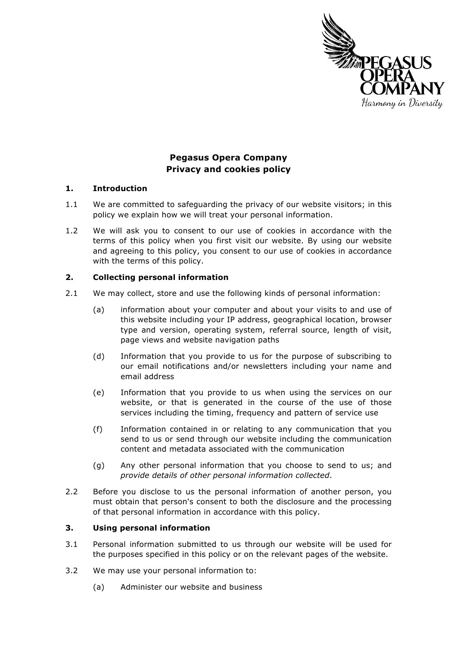

# **Pegasus Opera Company Privacy and cookies policy**

### **1. Introduction**

- 1.1 We are committed to safeguarding the privacy of our website visitors; in this policy we explain how we will treat your personal information.
- 1.2 We will ask you to consent to our use of cookies in accordance with the terms of this policy when you first visit our website. By using our website and agreeing to this policy, you consent to our use of cookies in accordance with the terms of this policy.

# **2. Collecting personal information**

- 2.1 We may collect, store and use the following kinds of personal information:
	- (a) information about your computer and about your visits to and use of this website including your IP address, geographical location, browser type and version, operating system, referral source, length of visit, page views and website navigation paths
	- (d) Information that you provide to us for the purpose of subscribing to our email notifications and/or newsletters including your name and email address
	- (e) Information that you provide to us when using the services on our website, or that is generated in the course of the use of those services including the timing, frequency and pattern of service use
	- (f) Information contained in or relating to any communication that you send to us or send through our website including the communication content and metadata associated with the communication
	- (g) Any other personal information that you choose to send to us; and *provide details of other personal information collected*.
- 2.2 Before you disclose to us the personal information of another person, you must obtain that person's consent to both the disclosure and the processing of that personal information in accordance with this policy.

# **3. Using personal information**

- 3.1 Personal information submitted to us through our website will be used for the purposes specified in this policy or on the relevant pages of the website.
- 3.2 We may use your personal information to:
	- (a) Administer our website and business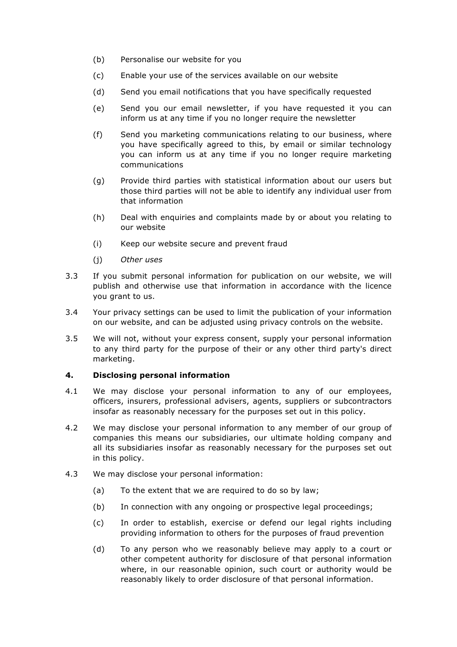- (b) Personalise our website for you
- (c) Enable your use of the services available on our website
- (d) Send you email notifications that you have specifically requested
- (e) Send you our email newsletter, if you have requested it you can inform us at any time if you no longer require the newsletter
- (f) Send you marketing communications relating to our business, where you have specifically agreed to this, by email or similar technology you can inform us at any time if you no longer require marketing communications
- (g) Provide third parties with statistical information about our users but those third parties will not be able to identify any individual user from that information
- (h) Deal with enquiries and complaints made by or about you relating to our website
- (i) Keep our website secure and prevent fraud
- (j) *Other uses*
- 3.3 If you submit personal information for publication on our website, we will publish and otherwise use that information in accordance with the licence you grant to us.
- 3.4 Your privacy settings can be used to limit the publication of your information on our website, and can be adjusted using privacy controls on the website.
- 3.5 We will not, without your express consent, supply your personal information to any third party for the purpose of their or any other third party's direct marketing.

#### **4. Disclosing personal information**

- 4.1 We may disclose your personal information to any of our employees, officers, insurers, professional advisers, agents, suppliers or subcontractors insofar as reasonably necessary for the purposes set out in this policy.
- 4.2 We may disclose your personal information to any member of our group of companies this means our subsidiaries, our ultimate holding company and all its subsidiaries insofar as reasonably necessary for the purposes set out in this policy.
- 4.3 We may disclose your personal information:
	- (a) To the extent that we are required to do so by law;
	- (b) In connection with any ongoing or prospective legal proceedings;
	- (c) In order to establish, exercise or defend our legal rights including providing information to others for the purposes of fraud prevention
	- (d) To any person who we reasonably believe may apply to a court or other competent authority for disclosure of that personal information where, in our reasonable opinion, such court or authority would be reasonably likely to order disclosure of that personal information.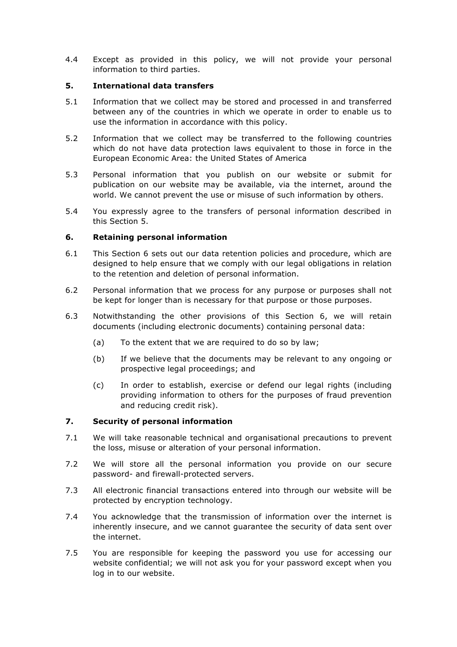4.4 Except as provided in this policy, we will not provide your personal information to third parties.

### **5. International data transfers**

- 5.1 Information that we collect may be stored and processed in and transferred between any of the countries in which we operate in order to enable us to use the information in accordance with this policy.
- 5.2 Information that we collect may be transferred to the following countries which do not have data protection laws equivalent to those in force in the European Economic Area: the United States of America
- 5.3 Personal information that you publish on our website or submit for publication on our website may be available, via the internet, around the world. We cannot prevent the use or misuse of such information by others.
- 5.4 You expressly agree to the transfers of personal information described in this Section 5.

# **6. Retaining personal information**

- 6.1 This Section 6 sets out our data retention policies and procedure, which are designed to help ensure that we comply with our legal obligations in relation to the retention and deletion of personal information.
- 6.2 Personal information that we process for any purpose or purposes shall not be kept for longer than is necessary for that purpose or those purposes.
- 6.3 Notwithstanding the other provisions of this Section 6, we will retain documents (including electronic documents) containing personal data:
	- (a) To the extent that we are required to do so by law;
	- (b) If we believe that the documents may be relevant to any ongoing or prospective legal proceedings; and
	- (c) In order to establish, exercise or defend our legal rights (including providing information to others for the purposes of fraud prevention and reducing credit risk).

#### **7. Security of personal information**

- 7.1 We will take reasonable technical and organisational precautions to prevent the loss, misuse or alteration of your personal information.
- 7.2 We will store all the personal information you provide on our secure password- and firewall-protected servers.
- 7.3 All electronic financial transactions entered into through our website will be protected by encryption technology.
- 7.4 You acknowledge that the transmission of information over the internet is inherently insecure, and we cannot guarantee the security of data sent over the internet.
- 7.5 You are responsible for keeping the password you use for accessing our website confidential; we will not ask you for your password except when you log in to our website.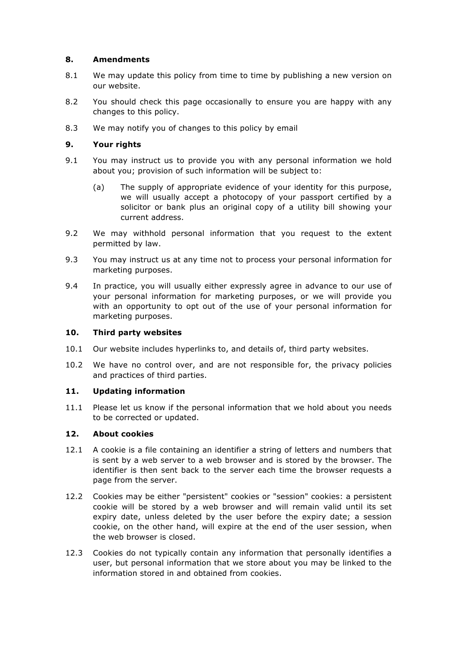# **8. Amendments**

- 8.1 We may update this policy from time to time by publishing a new version on our website.
- 8.2 You should check this page occasionally to ensure you are happy with any changes to this policy.
- 8.3 We may notify you of changes to this policy by email

# **9. Your rights**

- 9.1 You may instruct us to provide you with any personal information we hold about you; provision of such information will be subject to:
	- (a) The supply of appropriate evidence of your identity for this purpose, we will usually accept a photocopy of your passport certified by a solicitor or bank plus an original copy of a utility bill showing your current address.
- 9.2 We may withhold personal information that you request to the extent permitted by law.
- 9.3 You may instruct us at any time not to process your personal information for marketing purposes.
- 9.4 In practice, you will usually either expressly agree in advance to our use of your personal information for marketing purposes, or we will provide you with an opportunity to opt out of the use of your personal information for marketing purposes.

#### **10. Third party websites**

- 10.1 Our website includes hyperlinks to, and details of, third party websites.
- 10.2 We have no control over, and are not responsible for, the privacy policies and practices of third parties.

# **11. Updating information**

11.1 Please let us know if the personal information that we hold about you needs to be corrected or updated.

#### **12. About cookies**

- 12.1 A cookie is a file containing an identifier a string of letters and numbers that is sent by a web server to a web browser and is stored by the browser. The identifier is then sent back to the server each time the browser requests a page from the server.
- 12.2 Cookies may be either "persistent" cookies or "session" cookies: a persistent cookie will be stored by a web browser and will remain valid until its set expiry date, unless deleted by the user before the expiry date; a session cookie, on the other hand, will expire at the end of the user session, when the web browser is closed.
- 12.3 Cookies do not typically contain any information that personally identifies a user, but personal information that we store about you may be linked to the information stored in and obtained from cookies.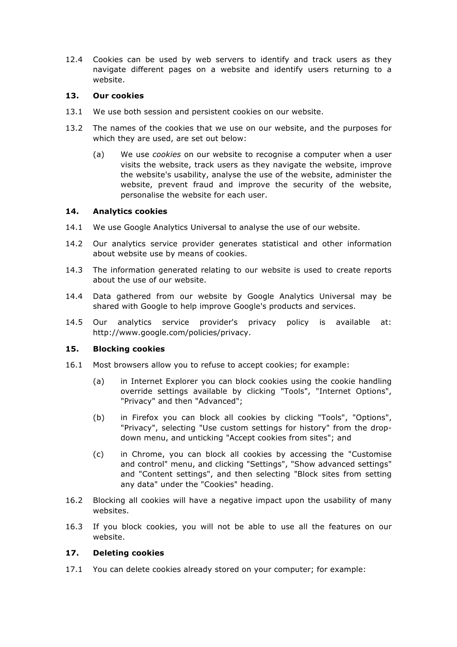12.4 Cookies can be used by web servers to identify and track users as they navigate different pages on a website and identify users returning to a website.

### **13. Our cookies**

- 13.1 We use both session and persistent cookies on our website.
- 13.2 The names of the cookies that we use on our website, and the purposes for which they are used, are set out below:
	- (a) We use *cookies* on our website to recognise a computer when a user visits the website, track users as they navigate the website, improve the website's usability, analyse the use of the website, administer the website, prevent fraud and improve the security of the website, personalise the website for each user.

### **14. Analytics cookies**

- 14.1 We use Google Analytics Universal to analyse the use of our website.
- 14.2 Our analytics service provider generates statistical and other information about website use by means of cookies.
- 14.3 The information generated relating to our website is used to create reports about the use of our website.
- 14.4 Data gathered from our website by Google Analytics Universal may be shared with Google to help improve Google's products and services.
- 14.5 Our analytics service provider's privacy policy is available at: http://www.google.com/policies/privacy.

# **15. Blocking cookies**

- 16.1 Most browsers allow you to refuse to accept cookies; for example:
	- (a) in Internet Explorer you can block cookies using the cookie handling override settings available by clicking "Tools", "Internet Options", "Privacy" and then "Advanced";
	- (b) in Firefox you can block all cookies by clicking "Tools", "Options", "Privacy", selecting "Use custom settings for history" from the dropdown menu, and unticking "Accept cookies from sites"; and
	- (c) in Chrome, you can block all cookies by accessing the "Customise and control" menu, and clicking "Settings", "Show advanced settings" and "Content settings", and then selecting "Block sites from setting any data" under the "Cookies" heading.
- 16.2 Blocking all cookies will have a negative impact upon the usability of many websites.
- 16.3 If you block cookies, you will not be able to use all the features on our website.

#### **17. Deleting cookies**

17.1 You can delete cookies already stored on your computer; for example: